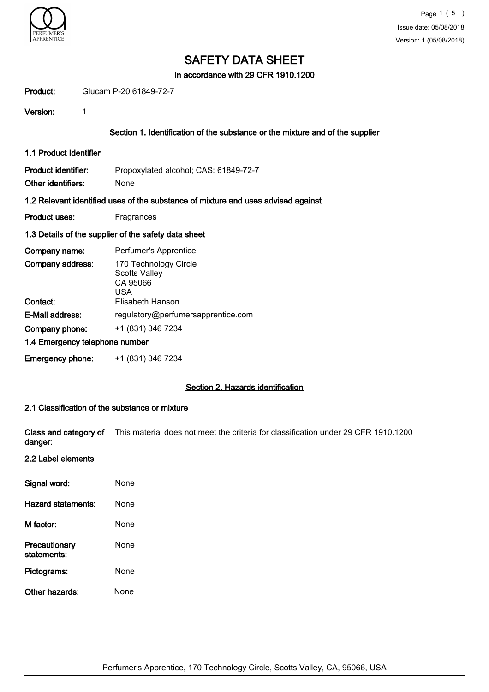

In accordance with 29 CFR 1910.1200

Product: Glucam P-20 61849-72-7

Version: 1

## Section 1. Identification of the substance or the mixture and of the supplier

1.1 Product Identifier

Product identifier: Propoxylated alcohol; CAS: 61849-72-7 Other identifiers: None

#### 1.2 Relevant identified uses of the substance of mixture and uses advised against

Product uses: Fragrances

## 1.3 Details of the supplier of the safety data sheet

| Company name:                  | Perfumer's Apprentice                                            |  |  |  |
|--------------------------------|------------------------------------------------------------------|--|--|--|
| Company address:               | 170 Technology Circle<br><b>Scotts Valley</b><br>CA 95066<br>USA |  |  |  |
| Contact:                       | Elisabeth Hanson                                                 |  |  |  |
| E-Mail address:                | regulatory@perfumersapprentice.com                               |  |  |  |
| Company phone:                 | +1 (831) 346 7234                                                |  |  |  |
| 1.4 Emergency telephone number |                                                                  |  |  |  |
| <b>Emergency phone:</b>        | +1 (831) 346 7234                                                |  |  |  |

## Section 2. Hazards identification

## 2.1 Classification of the substance or mixture

Class and category of This material does not meet the criteria for classification under 29 CFR 1910.1200 danger:

## 2.2 Label elements

| Signal word:                 | None |
|------------------------------|------|
| Hazard statements:           | None |
| M factor:                    | None |
| Precautionary<br>statements: | None |
| Pictograms:                  | None |
| Other hazards:               | None |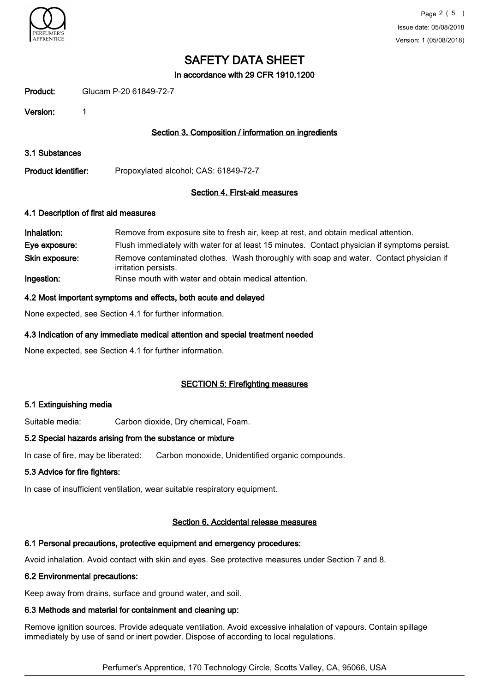

In accordance with 29 CFR 1910.1200

Product: Glucam P-20 61849-72-7

Version: 1

## Section 3. Composition / information on ingredients

3.1 Substances

Product identifier: Propoxylated alcohol; CAS: 61849-72-7

## Section 4. First-aid measures

## 4.1 Description of first aid measures

| Inhalation:    | Remove from exposure site to fresh air, keep at rest, and obtain medical attention.                            |
|----------------|----------------------------------------------------------------------------------------------------------------|
| Eye exposure:  | Flush immediately with water for at least 15 minutes. Contact physician if symptoms persist.                   |
| Skin exposure: | Remove contaminated clothes. Wash thoroughly with soap and water. Contact physician if<br>irritation persists. |
| Ingestion:     | Rinse mouth with water and obtain medical attention.                                                           |

## 4.2 Most important symptoms and effects, both acute and delayed

None expected, see Section 4.1 for further information.

## 4.3 Indication of any immediate medical attention and special treatment needed

None expected, see Section 4.1 for further information.

## SECTION 5: Firefighting measures

## 5.1 Extinguishing media

Suitable media: Carbon dioxide, Dry chemical, Foam.

## 5.2 Special hazards arising from the substance or mixture

In case of fire, may be liberated: Carbon monoxide, Unidentified organic compounds.

## 5.3 Advice for fire fighters:

In case of insufficient ventilation, wear suitable respiratory equipment.

## Section 6. Accidental release measures

## 6.1 Personal precautions, protective equipment and emergency procedures:

Avoid inhalation. Avoid contact with skin and eyes. See protective measures under Section 7 and 8.

## 6.2 Environmental precautions:

Keep away from drains, surface and ground water, and soil.

## 6.3 Methods and material for containment and cleaning up:

Remove ignition sources. Provide adequate ventilation. Avoid excessive inhalation of vapours. Contain spillage immediately by use of sand or inert powder. Dispose of according to local regulations.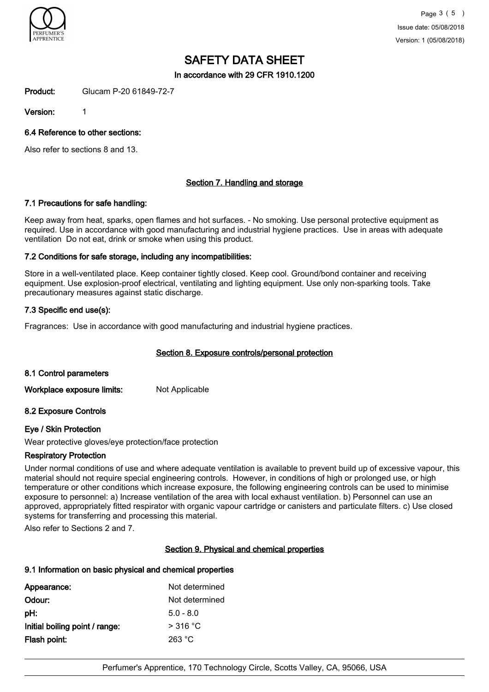

In accordance with 29 CFR 1910.1200

Product: Glucam P-20 61849-72-7

Version: 1

6.4 Reference to other sections:

Also refer to sections 8 and 13.

## Section 7. Handling and storage

## 7.1 Precautions for safe handling:

Keep away from heat, sparks, open flames and hot surfaces. - No smoking. Use personal protective equipment as required. Use in accordance with good manufacturing and industrial hygiene practices. Use in areas with adequate ventilation Do not eat, drink or smoke when using this product.

## 7.2 Conditions for safe storage, including any incompatibilities:

Store in a well-ventilated place. Keep container tightly closed. Keep cool. Ground/bond container and receiving equipment. Use explosion-proof electrical, ventilating and lighting equipment. Use only non-sparking tools. Take precautionary measures against static discharge.

## 7.3 Specific end use(s):

Fragrances: Use in accordance with good manufacturing and industrial hygiene practices.

## Section 8. Exposure controls/personal protection

## 8.1 Control parameters

Workplace exposure limits: Not Applicable

## 8.2 Exposure Controls

## Eye / Skin Protection

Wear protective gloves/eye protection/face protection

## Respiratory Protection

Under normal conditions of use and where adequate ventilation is available to prevent build up of excessive vapour, this material should not require special engineering controls. However, in conditions of high or prolonged use, or high temperature or other conditions which increase exposure, the following engineering controls can be used to minimise exposure to personnel: a) Increase ventilation of the area with local exhaust ventilation. b) Personnel can use an approved, appropriately fitted respirator with organic vapour cartridge or canisters and particulate filters. c) Use closed systems for transferring and processing this material.

Also refer to Sections 2 and 7.

## Section 9. Physical and chemical properties

## 9.1 Information on basic physical and chemical properties

| Not determined |
|----------------|
| Not determined |
| $5.0 - 8.0$    |
| $>$ 316 °C     |
| 263 °C         |
|                |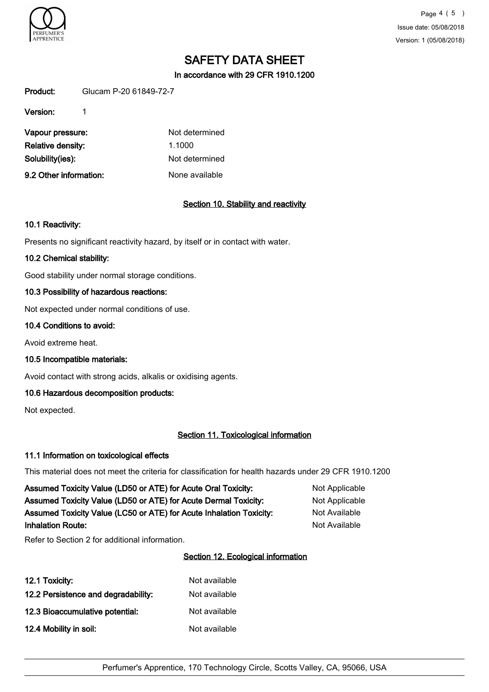

Page 4 ( 5 ) Issue date: 05/08/2018 Version: 1 (05/08/2018)

# SAFETY DATA SHEET

In accordance with 29 CFR 1910.1200

Product: Glucam P-20 61849-72-7

Version: 1

| Vapour pressure:       | Not determined |
|------------------------|----------------|
| Relative density:      | 1.1000         |
| Solubility(ies):       | Not determined |
| 9.2 Other information: | None available |

## Section 10. Stability and reactivity

## 10.1 Reactivity:

Presents no significant reactivity hazard, by itself or in contact with water.

## 10.2 Chemical stability:

Good stability under normal storage conditions.

## 10.3 Possibility of hazardous reactions:

Not expected under normal conditions of use.

#### 10.4 Conditions to avoid:

Avoid extreme heat.

10.5 Incompatible materials:

Avoid contact with strong acids, alkalis or oxidising agents.

## 10.6 Hazardous decomposition products:

Not expected.

## Section 11. Toxicological information

## 11.1 Information on toxicological effects

This material does not meet the criteria for classification for health hazards under 29 CFR 1910.1200

| Assumed Toxicity Value (LD50 or ATE) for Acute Oral Toxicity:       | Not Applicable |
|---------------------------------------------------------------------|----------------|
| Assumed Toxicity Value (LD50 or ATE) for Acute Dermal Toxicity:     | Not Applicable |
| Assumed Toxicity Value (LC50 or ATE) for Acute Inhalation Toxicity: | Not Available  |
| <b>Inhalation Route:</b>                                            | Not Available  |

Refer to Section 2 for additional information.

## Section 12. Ecological information

| 12.1 Toxicity:                      | Not available |
|-------------------------------------|---------------|
| 12.2 Persistence and degradability: | Not available |
| 12.3 Bioaccumulative potential:     | Not available |
| 12.4 Mobility in soil:              | Not available |